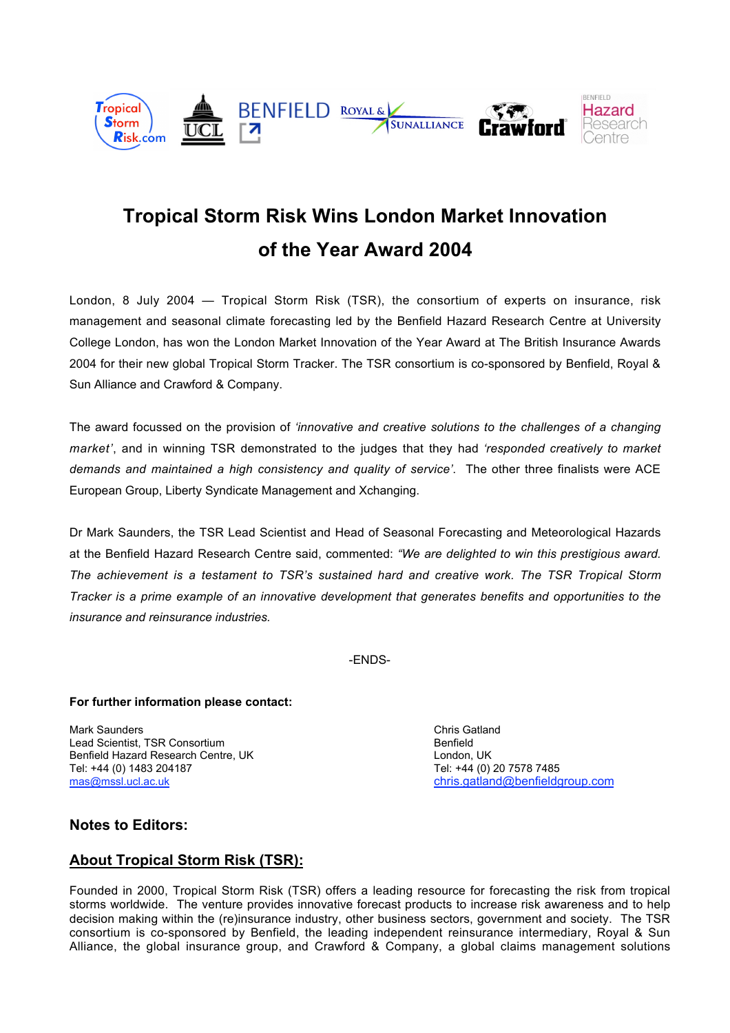

# **Tropical Storm Risk Wins London Market Innovation of the Year Award 2004**

London, 8 July 2004 — Tropical Storm Risk (TSR), the consortium of experts on insurance, risk management and seasonal climate forecasting led by the Benfield Hazard Research Centre at University College London, has won the London Market Innovation of the Year Award at The British Insurance Awards 2004 for their new global Tropical Storm Tracker. The TSR consortium is co-sponsored by Benfield, Royal & Sun Alliance and Crawford & Company.

The award focussed on the provision of *'innovative and creative solutions to the challenges of a changing market'*, and in winning TSR demonstrated to the judges that they had *'responded creatively to market demands and maintained a high consistency and quality of service'*. The other three finalists were ACE European Group, Liberty Syndicate Management and Xchanging.

Dr Mark Saunders, the TSR Lead Scientist and Head of Seasonal Forecasting and Meteorological Hazards at the Benfield Hazard Research Centre said, commented: *"We are delighted to win this prestigious award. The achievement is a testament to TSR's sustained hard and creative work. The TSR Tropical Storm Tracker is a prime example of an innovative development that generates benefits and opportunities to the insurance and reinsurance industries.*

-ENDS-

#### **For further information please contact:**

Mark Saunders Chris Gatland Chris Gatland Chris Gatland Chris Gatland Chris Gatland Lead Scientist, TSR Consortium and the second term of the Benfield<br>
Benfield Hazard Research Centre, UK<br>
London, UK Benfield Hazard Research Centre, UK Tel: +44 (0) 1483 204187 Tel: +44 (0) 20 7578 7485 mas@mssl.ucl.ac.uk chris.gatland@benfieldgroup.com

## **Notes to Editors:**

## **About Tropical Storm Risk (TSR):**

Founded in 2000, Tropical Storm Risk (TSR) offers a leading resource for forecasting the risk from tropical storms worldwide. The venture provides innovative forecast products to increase risk awareness and to help decision making within the (re)insurance industry, other business sectors, government and society. The TSR consortium is co-sponsored by Benfield, the leading independent reinsurance intermediary, Royal & Sun Alliance, the global insurance group, and Crawford & Company, a global claims management solutions